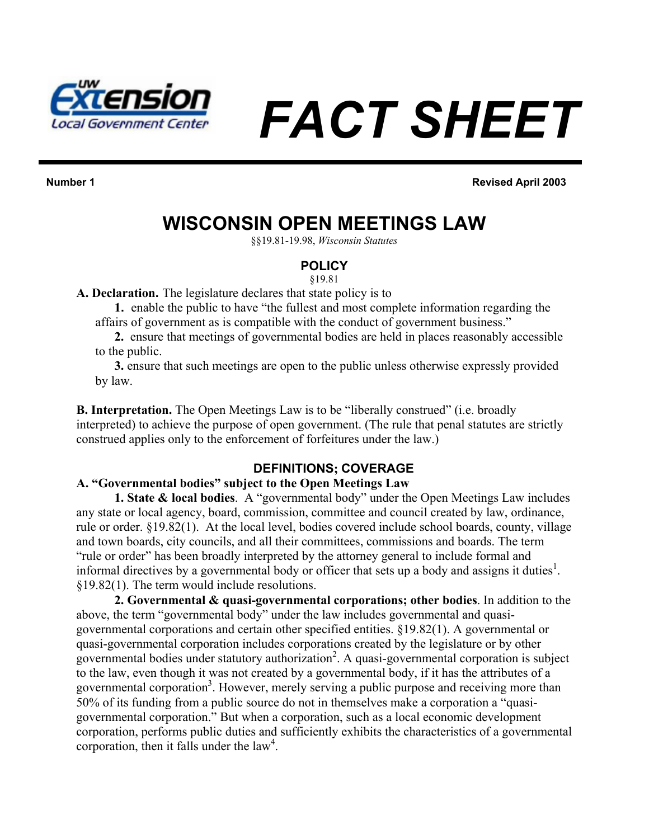

I

# *FACT SHEET*

**Number 1 Revised April 2003** 

# **WISCONSIN OPEN MEETINGS LAW**

§§19.81-19.98, *Wisconsin Statutes* 

# **POLICY**

§19.81

**A. Declaration.** The legislature declares that state policy is to

**1.** enable the public to have "the fullest and most complete information regarding the affairs of government as is compatible with the conduct of government business."

**2.** ensure that meetings of governmental bodies are held in places reasonably accessible to the public.

**3.** ensure that such meetings are open to the public unless otherwise expressly provided by law.

**B. Interpretation.** The Open Meetings Law is to be "liberally construed" (i.e. broadly interpreted) to achieve the purpose of open government. (The rule that penal statutes are strictly construed applies only to the enforcement of forfeitures under the law.)

# **DEFINITIONS; COVERAGE**

### **A. "Governmental bodies" subject to the Open Meetings Law**

 **1. State & local bodies**. A "governmental body" under the Open Meetings Law includes any state or local agency, board, commission, committee and council created by law, ordinance, rule or order. §19.82(1). At the local level, bodies covered include school boards, county, village and town boards, city councils, and all their committees, commissions and boards. The term "rule or order" has been broadly interpreted by the attorney general to include formal and informal directives by a governmental body or officer that sets up a body and assigns it duties<sup>1</sup>. §19.82(1). The term would include resolutions.

**2. Governmental & quasi-governmental corporations; other bodies**. In addition to the above, the term "governmental body" under the law includes governmental and quasigovernmental corporations and certain other specified entities. §19.82(1). A governmental or quasi-governmental corporation includes corporations created by the legislature or by other governmental bodies under statutory authorization<sup>2</sup>. A quasi-governmental corporation is subject to the law, even though it was not created by a governmental body, if it has the attributes of a governmental corporation<sup>3</sup>. However, merely serving a public purpose and receiving more than 50% of its funding from a public source do not in themselves make a corporation a "quasigovernmental corporation." But when a corporation, such as a local economic development corporation, performs public duties and sufficiently exhibits the characteristics of a governmental corporation, then it falls under the  $law<sup>4</sup>$ .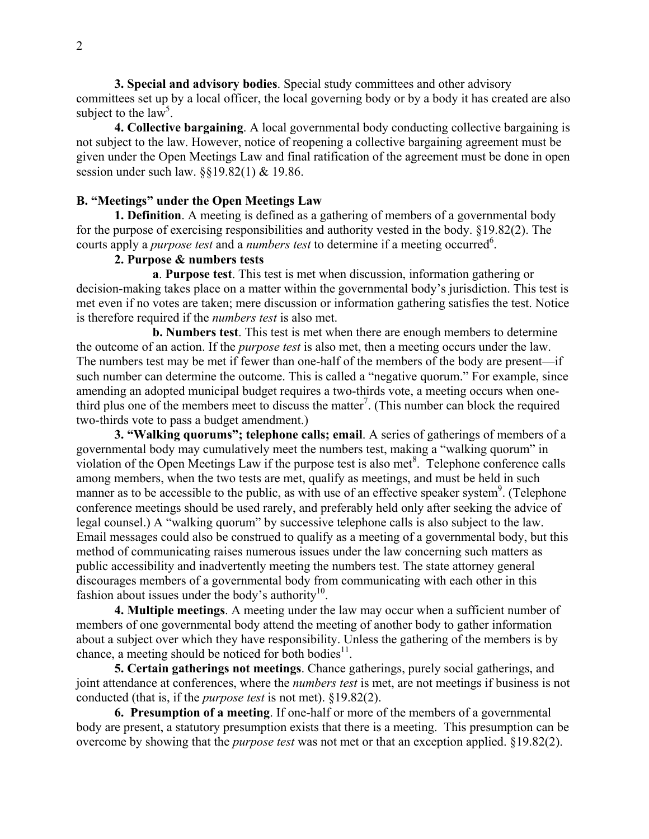**3. Special and advisory bodies**. Special study committees and other advisory committees set up by a local officer, the local governing body or by a body it has created are also subject to the  $\overline{\text{law}}^5$ .

 **4. Collective bargaining**. A local governmental body conducting collective bargaining is not subject to the law. However, notice of reopening a collective bargaining agreement must be given under the Open Meetings Law and final ratification of the agreement must be done in open session under such law. §§19.82(1) & 19.86.

#### **B. "Meetings" under the Open Meetings Law**

 **1. Definition**. A meeting is defined as a gathering of members of a governmental body for the purpose of exercising responsibilities and authority vested in the body. §19.82(2). The courts apply a *purpose test* and a *numbers test* to determine if a meeting occurred<sup>6</sup>.

#### **2. Purpose & numbers tests**

 **a**. **Purpose test**. This test is met when discussion, information gathering or decision-making takes place on a matter within the governmental body's jurisdiction. This test is met even if no votes are taken; mere discussion or information gathering satisfies the test. Notice is therefore required if the *numbers test* is also met.

 **b. Numbers test**. This test is met when there are enough members to determine the outcome of an action. If the *purpose test* is also met, then a meeting occurs under the law. The numbers test may be met if fewer than one-half of the members of the body are present—if such number can determine the outcome. This is called a "negative quorum." For example, since amending an adopted municipal budget requires a two-thirds vote, a meeting occurs when onethird plus one of the members meet to discuss the matter<sup>7</sup>. (This number can block the required two-thirds vote to pass a budget amendment.)

**3. "Walking quorums"; telephone calls; email**. A series of gatherings of members of a governmental body may cumulatively meet the numbers test, making a "walking quorum" in violation of the Open Meetings Law if the purpose test is also met $8$ . Telephone conference calls among members, when the two tests are met, qualify as meetings, and must be held in such manner as to be accessible to the public, as with use of an effective speaker system<sup>9</sup>. (Telephone conference meetings should be used rarely, and preferably held only after seeking the advice of legal counsel.) A "walking quorum" by successive telephone calls is also subject to the law. Email messages could also be construed to qualify as a meeting of a governmental body, but this method of communicating raises numerous issues under the law concerning such matters as public accessibility and inadvertently meeting the numbers test. The state attorney general discourages members of a governmental body from communicating with each other in this fashion about issues under the body's authority $10$ .

**4. Multiple meetings**. A meeting under the law may occur when a sufficient number of members of one governmental body attend the meeting of another body to gather information about a subject over which they have responsibility. Unless the gathering of the members is by chance, a meeting should be noticed for both bodies<sup>11</sup>.

 **5. Certain gatherings not meetings**. Chance gatherings, purely social gatherings, and joint attendance at conferences, where the *numbers test* is met, are not meetings if business is not conducted (that is, if the *purpose test* is not met). §19.82(2).

 **6. Presumption of a meeting**. If one-half or more of the members of a governmental body are present, a statutory presumption exists that there is a meeting. This presumption can be overcome by showing that the *purpose test* was not met or that an exception applied. §19.82(2).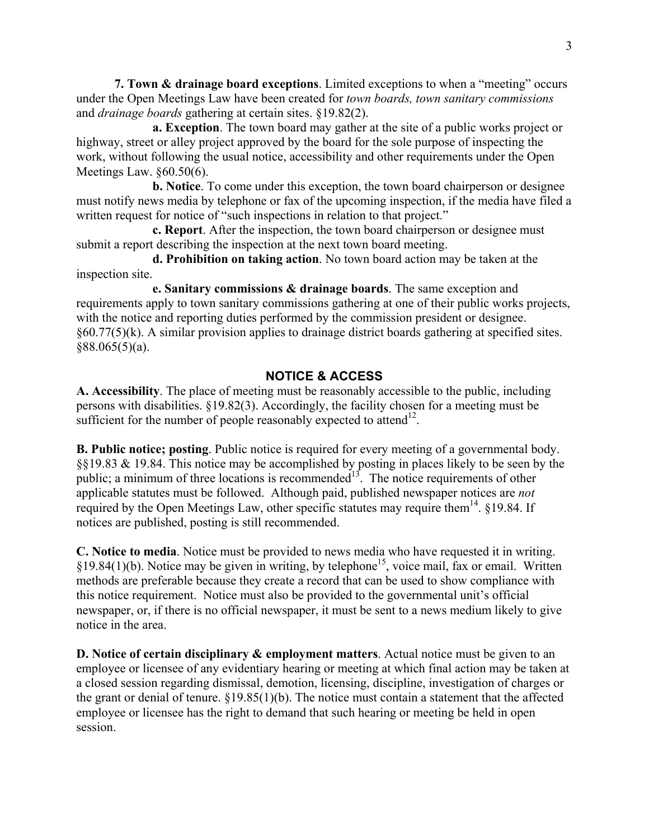**7. Town & drainage board exceptions**. Limited exceptions to when a "meeting" occurs under the Open Meetings Law have been created for *town boards, town sanitary commissions*  and *drainage boards* gathering at certain sites. §19.82(2).

 **a. Exception**. The town board may gather at the site of a public works project or highway, street or alley project approved by the board for the sole purpose of inspecting the work, without following the usual notice, accessibility and other requirements under the Open Meetings Law. §60.50(6).

 **b. Notice**. To come under this exception, the town board chairperson or designee must notify news media by telephone or fax of the upcoming inspection, if the media have filed a written request for notice of "such inspections in relation to that project."

 **c. Report**. After the inspection, the town board chairperson or designee must submit a report describing the inspection at the next town board meeting.

 **d. Prohibition on taking action**. No town board action may be taken at the inspection site.

 **e. Sanitary commissions & drainage boards**. The same exception and requirements apply to town sanitary commissions gathering at one of their public works projects, with the notice and reporting duties performed by the commission president or designee. §60.77(5)(k). A similar provision applies to drainage district boards gathering at specified sites.  $§88.065(5)(a)$ .

## **NOTICE & ACCESS**

**A. Accessibility**. The place of meeting must be reasonably accessible to the public, including persons with disabilities. §19.82(3). Accordingly, the facility chosen for a meeting must be sufficient for the number of people reasonably expected to attend<sup>12</sup>.

**B. Public notice; posting**. Public notice is required for every meeting of a governmental body. §§19.83 & 19.84. This notice may be accomplished by posting in places likely to be seen by the public; a minimum of three locations is recommended<sup>13</sup>. The notice requirements of other applicable statutes must be followed. Although paid, published newspaper notices are *not*  required by the Open Meetings Law, other specific statutes may require them<sup>14</sup>. §19.84. If notices are published, posting is still recommended.

**C. Notice to media**. Notice must be provided to news media who have requested it in writing. §19.84(1)(b). Notice may be given in writing, by telephone<sup>15</sup>, voice mail, fax or email. Written methods are preferable because they create a record that can be used to show compliance with this notice requirement. Notice must also be provided to the governmental unit's official newspaper, or, if there is no official newspaper, it must be sent to a news medium likely to give notice in the area.

**D. Notice of certain disciplinary & employment matters**. Actual notice must be given to an employee or licensee of any evidentiary hearing or meeting at which final action may be taken at a closed session regarding dismissal, demotion, licensing, discipline, investigation of charges or the grant or denial of tenure. §19.85(1)(b). The notice must contain a statement that the affected employee or licensee has the right to demand that such hearing or meeting be held in open session.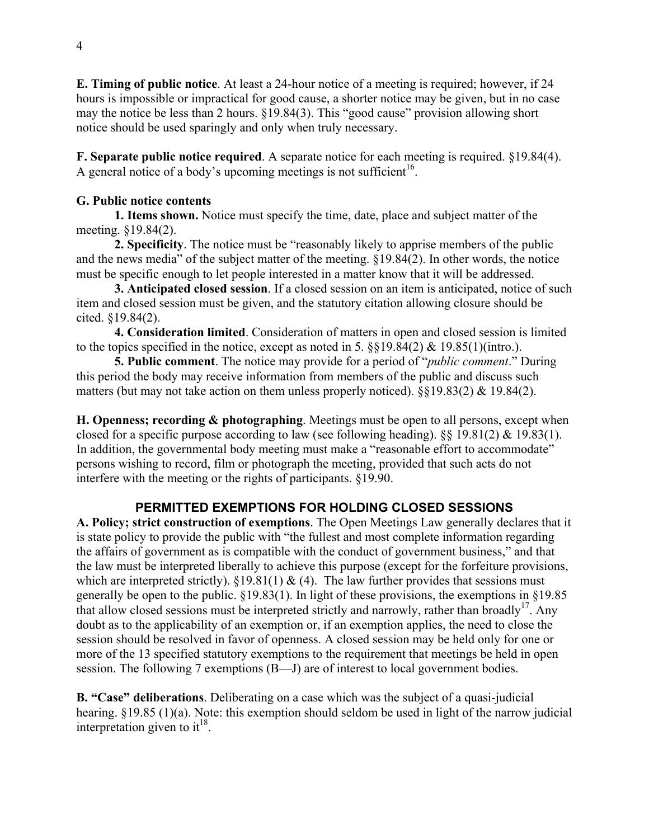**E. Timing of public notice**. At least a 24-hour notice of a meeting is required; however, if 24 hours is impossible or impractical for good cause, a shorter notice may be given, but in no case may the notice be less than 2 hours. §19.84(3). This "good cause" provision allowing short notice should be used sparingly and only when truly necessary.

**F. Separate public notice required**. A separate notice for each meeting is required. §19.84(4). A general notice of a body's upcoming meetings is not sufficient<sup>16</sup>.

#### **G. Public notice contents**

 **1. Items shown.** Notice must specify the time, date, place and subject matter of the meeting. §19.84(2).

**2. Specificity**. The notice must be "reasonably likely to apprise members of the public and the news media" of the subject matter of the meeting. §19.84(2). In other words, the notice must be specific enough to let people interested in a matter know that it will be addressed.

**3. Anticipated closed session**. If a closed session on an item is anticipated, notice of such item and closed session must be given, and the statutory citation allowing closure should be cited. §19.84(2).

**4. Consideration limited**. Consideration of matters in open and closed session is limited to the topics specified in the notice, except as noted in 5.  $\S 19.84(2) \& 19.85(1)(\text{intro.}).$ 

**5. Public comment**. The notice may provide for a period of "*public comment*." During this period the body may receive information from members of the public and discuss such matters (but may not take action on them unless properly noticed). §§19.83(2) & 19.84(2).

**H. Openness; recording & photographing**. Meetings must be open to all persons, except when closed for a specific purpose according to law (see following heading).  $\S$ § 19.81(2) & 19.83(1). In addition, the governmental body meeting must make a "reasonable effort to accommodate" persons wishing to record, film or photograph the meeting, provided that such acts do not interfere with the meeting or the rights of participants. §19.90.

### **PERMITTED EXEMPTIONS FOR HOLDING CLOSED SESSIONS**

**A. Policy; strict construction of exemptions**. The Open Meetings Law generally declares that it is state policy to provide the public with "the fullest and most complete information regarding the affairs of government as is compatible with the conduct of government business," and that the law must be interpreted liberally to achieve this purpose (except for the forfeiture provisions, which are interpreted strictly). §19.81(1) & (4). The law further provides that sessions must generally be open to the public. §19.83(1). In light of these provisions, the exemptions in §19.85 that allow closed sessions must be interpreted strictly and narrowly, rather than broadly<sup>17</sup>. Any doubt as to the applicability of an exemption or, if an exemption applies, the need to close the session should be resolved in favor of openness. A closed session may be held only for one or more of the 13 specified statutory exemptions to the requirement that meetings be held in open session. The following 7 exemptions (B—J) are of interest to local government bodies.

**B. "Case" deliberations**. Deliberating on a case which was the subject of a quasi-judicial hearing. §19.85 (1)(a). Note: this exemption should seldom be used in light of the narrow judicial interpretation given to  $it^{18}$ .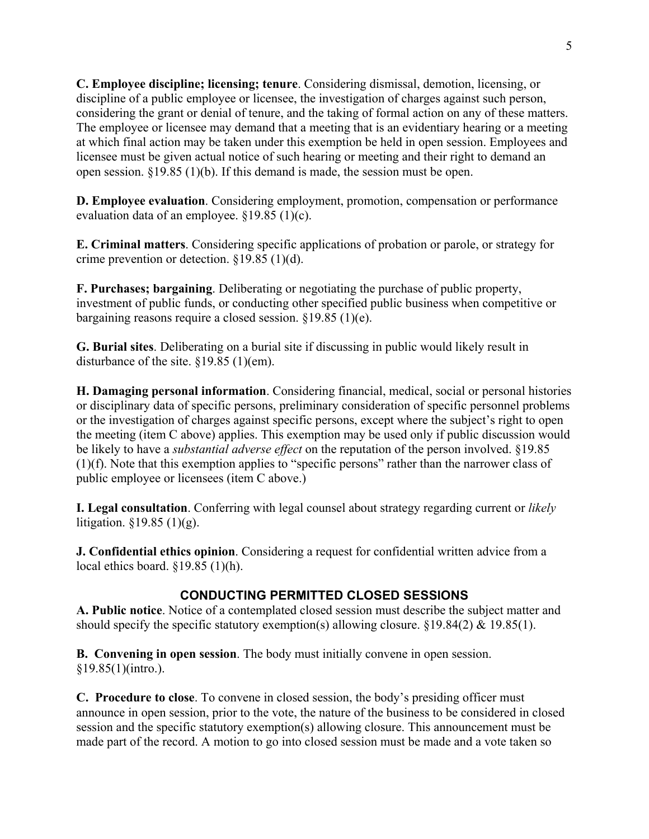**C. Employee discipline; licensing; tenure**. Considering dismissal, demotion, licensing, or discipline of a public employee or licensee, the investigation of charges against such person, considering the grant or denial of tenure, and the taking of formal action on any of these matters. The employee or licensee may demand that a meeting that is an evidentiary hearing or a meeting at which final action may be taken under this exemption be held in open session. Employees and licensee must be given actual notice of such hearing or meeting and their right to demand an open session. §19.85 (1)(b). If this demand is made, the session must be open.

**D. Employee evaluation**. Considering employment, promotion, compensation or performance evaluation data of an employee. §19.85 (1)(c).

**E. Criminal matters**. Considering specific applications of probation or parole, or strategy for crime prevention or detection. §19.85 (1)(d).

**F. Purchases; bargaining**. Deliberating or negotiating the purchase of public property, investment of public funds, or conducting other specified public business when competitive or bargaining reasons require a closed session. §19.85 (1)(e).

**G. Burial sites**. Deliberating on a burial site if discussing in public would likely result in disturbance of the site. §19.85 (1)(em).

**H. Damaging personal information**. Considering financial, medical, social or personal histories or disciplinary data of specific persons, preliminary consideration of specific personnel problems or the investigation of charges against specific persons, except where the subject's right to open the meeting (item C above) applies. This exemption may be used only if public discussion would be likely to have a *substantial adverse effect* on the reputation of the person involved. §19.85 (1)(f). Note that this exemption applies to "specific persons" rather than the narrower class of public employee or licensees (item C above.)

**I. Legal consultation**. Conferring with legal counsel about strategy regarding current or *likely* litigation.  $$19.85(1)(g)$ .

**J. Confidential ethics opinion**. Considering a request for confidential written advice from a local ethics board. §19.85 (1)(h).

# **CONDUCTING PERMITTED CLOSED SESSIONS**

**A. Public notice**. Notice of a contemplated closed session must describe the subject matter and should specify the specific statutory exemption(s) allowing closure.  $$19.84(2)$  &  $19.85(1)$ .

**B. Convening in open session**. The body must initially convene in open session. §19.85(1)(intro.).

**C. Procedure to close**. To convene in closed session, the body's presiding officer must announce in open session, prior to the vote, the nature of the business to be considered in closed session and the specific statutory exemption(s) allowing closure. This announcement must be made part of the record. A motion to go into closed session must be made and a vote taken so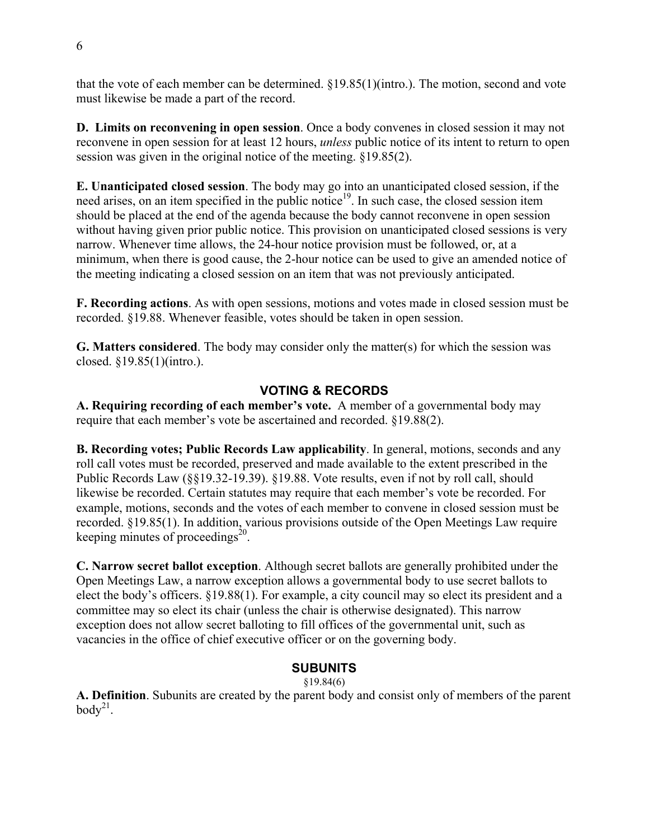that the vote of each member can be determined. §19.85(1)(intro.). The motion, second and vote must likewise be made a part of the record.

**D. Limits on reconvening in open session**. Once a body convenes in closed session it may not reconvene in open session for at least 12 hours, *unless* public notice of its intent to return to open session was given in the original notice of the meeting. §19.85(2).

**E. Unanticipated closed session**. The body may go into an unanticipated closed session, if the need arises, on an item specified in the public notice<sup>19</sup>. In such case, the closed session item should be placed at the end of the agenda because the body cannot reconvene in open session without having given prior public notice. This provision on unanticipated closed sessions is very narrow. Whenever time allows, the 24-hour notice provision must be followed, or, at a minimum, when there is good cause, the 2-hour notice can be used to give an amended notice of the meeting indicating a closed session on an item that was not previously anticipated.

**F. Recording actions**. As with open sessions, motions and votes made in closed session must be recorded. §19.88. Whenever feasible, votes should be taken in open session.

**G. Matters considered**. The body may consider only the matter(s) for which the session was closed. §19.85(1)(intro.).

# **VOTING & RECORDS**

**A. Requiring recording of each member's vote.** A member of a governmental body may require that each member's vote be ascertained and recorded. §19.88(2).

**B. Recording votes; Public Records Law applicability**. In general, motions, seconds and any roll call votes must be recorded, preserved and made available to the extent prescribed in the Public Records Law (§§19.32-19.39). §19.88. Vote results, even if not by roll call, should likewise be recorded. Certain statutes may require that each member's vote be recorded. For example, motions, seconds and the votes of each member to convene in closed session must be recorded. §19.85(1). In addition, various provisions outside of the Open Meetings Law require keeping minutes of proceedings $^{20}$ .

**C. Narrow secret ballot exception**. Although secret ballots are generally prohibited under the Open Meetings Law, a narrow exception allows a governmental body to use secret ballots to elect the body's officers. §19.88(1). For example, a city council may so elect its president and a committee may so elect its chair (unless the chair is otherwise designated). This narrow exception does not allow secret balloting to fill offices of the governmental unit, such as vacancies in the office of chief executive officer or on the governing body.

# **SUBUNITS**

§19.84(6)

**A. Definition**. Subunits are created by the parent body and consist only of members of the parent  $body<sup>21</sup>$ .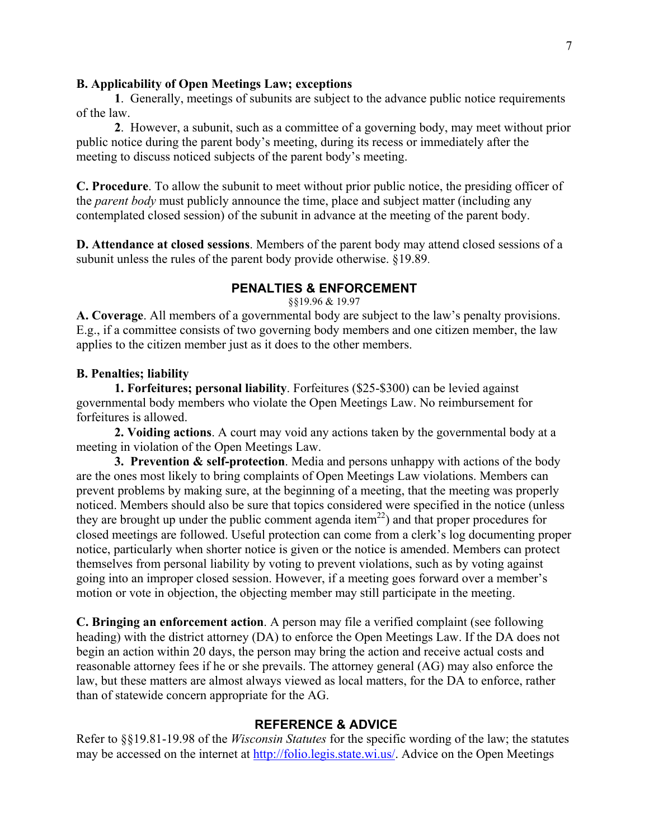#### **B. Applicability of Open Meetings Law; exceptions**

**1**. Generally, meetings of subunits are subject to the advance public notice requirements of the law.

**2**. However, a subunit, such as a committee of a governing body, may meet without prior public notice during the parent body's meeting, during its recess or immediately after the meeting to discuss noticed subjects of the parent body's meeting.

**C. Procedure**. To allow the subunit to meet without prior public notice, the presiding officer of the *parent body* must publicly announce the time, place and subject matter (including any contemplated closed session) of the subunit in advance at the meeting of the parent body.

**D. Attendance at closed sessions**. Members of the parent body may attend closed sessions of a subunit unless the rules of the parent body provide otherwise. §19.89.

#### **PENALTIES & ENFORCEMENT**

§§19.96 & 19.97

**A. Coverage**. All members of a governmental body are subject to the law's penalty provisions. E.g., if a committee consists of two governing body members and one citizen member, the law applies to the citizen member just as it does to the other members.

#### **B. Penalties; liability**

**1. Forfeitures; personal liability**. Forfeitures (\$25-\$300) can be levied against governmental body members who violate the Open Meetings Law. No reimbursement for forfeitures is allowed.

**2. Voiding actions**. A court may void any actions taken by the governmental body at a meeting in violation of the Open Meetings Law.

**3. Prevention & self-protection**. Media and persons unhappy with actions of the body are the ones most likely to bring complaints of Open Meetings Law violations. Members can prevent problems by making sure, at the beginning of a meeting, that the meeting was properly noticed. Members should also be sure that topics considered were specified in the notice (unless they are brought up under the public comment agenda item<sup>22</sup>) and that proper procedures for closed meetings are followed. Useful protection can come from a clerk's log documenting proper notice, particularly when shorter notice is given or the notice is amended. Members can protect themselves from personal liability by voting to prevent violations, such as by voting against going into an improper closed session. However, if a meeting goes forward over a member's motion or vote in objection, the objecting member may still participate in the meeting.

**C. Bringing an enforcement action**. A person may file a verified complaint (see following heading) with the district attorney (DA) to enforce the Open Meetings Law. If the DA does not begin an action within 20 days, the person may bring the action and receive actual costs and reasonable attorney fees if he or she prevails. The attorney general (AG) may also enforce the law, but these matters are almost always viewed as local matters, for the DA to enforce, rather than of statewide concern appropriate for the AG.

#### **REFERENCE & ADVICE**

Refer to §§19.81-19.98 of the *Wisconsin Statutes* for the specific wording of the law; the statutes may be accessed on the internet at http://folio.legis.state.wi.us/. Advice on the Open Meetings